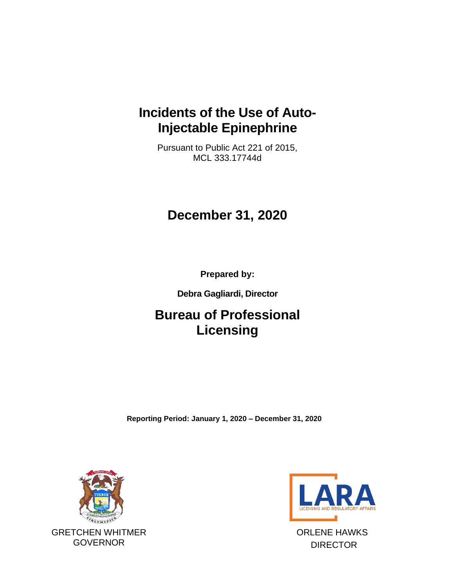## **Incidents of the Use of Auto-Injectable Epinephrine**

Pursuant to Public Act 221 of 2015, MCL 333.17744d

# **December 31, 2020**

**Prepared by:**

**Debra Gagliardi, Director**

# **Bureau of Professional Licensing**

**Reporting Period: January 1, 2020 – December 31, 2020**





ORLENE HAWKS DIRECTOR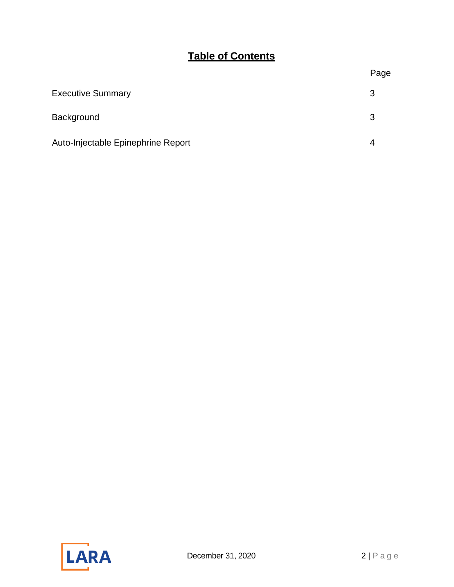### **Table of Contents**

| <b>Executive Summary</b>           |  |
|------------------------------------|--|
| Background                         |  |
| Auto-Injectable Epinephrine Report |  |

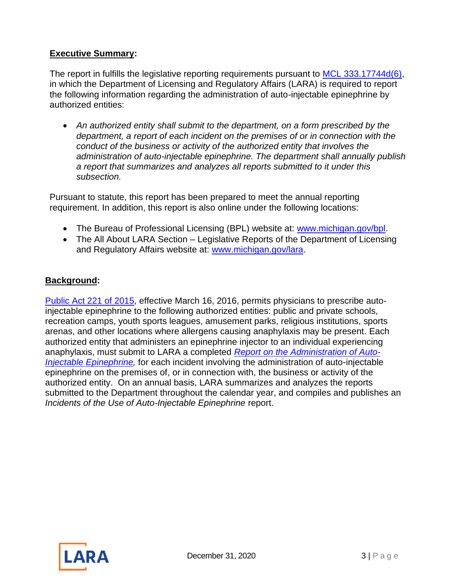#### <span id="page-2-0"></span>**Executive Summary:**

The report in fulfills the legislative reporting requirements pursuant to [MCL 333.17744d\(6\),](http://www.legislature.mi.gov/(S(5r3wc13mqowpm522fyco2zgx))/mileg.aspx?page=getObject&objectName=mcl-333-17744d) in which the Department of Licensing and Regulatory Affairs (LARA) is required to report the following information regarding the administration of auto-injectable epinephrine by authorized entities:

• *An authorized entity shall submit to the department, on a form prescribed by the department, a report of each incident on the premises of or in connection with the conduct of the business or activity of the authorized entity that involves the administration of auto-injectable epinephrine. The department shall annually publish a report that summarizes and analyzes all reports submitted to it under this subsection.* 

Pursuant to statute, this report has been prepared to meet the annual reporting requirement. In addition, this report is also online under the following locations:

- The Bureau of Professional Licensing (BPL) website at: [www.michigan.gov/bpl.](http://www.michigan.gov/bpl)
- The All About LARA Section Legislative Reports of the Department of Licensing and Regulatory Affairs website at: [www.michigan.gov/lara.](http://www.michigan.gov/lara)

### **Background:**

[Public Act 221 of 2015,](http://www.legislature.mi.gov/(S(eheitp4qz3ieyigmiwy1g4xq))/mileg.aspx?page=getObject&objectName=2015-HB-4438) effective March 16, 2016, permits physicians to prescribe autoinjectable epinephrine to the following authorized entities: public and private schools, recreation camps, youth sports leagues, amusement parks, religious institutions, sports arenas, and other locations where allergens causing anaphylaxis may be present. Each authorized entity that administers an epinephrine injector to an individual experiencing anaphylaxis, must submit to LARA a completed *[Report on the Administration of Auto-](https://www.michigan.gov/documents/lara/Report_on_the_Use_of_Auto-Injectable_Epinephrine_517141_7.pdf)[Injectable Epinephrine,](https://www.michigan.gov/documents/lara/Report_on_the_Use_of_Auto-Injectable_Epinephrine_517141_7.pdf)* for each incident involving the administration of auto-injectable epinephrine on the premises of, or in connection with, the business or activity of the authorized entity. On an annual basis, LARA summarizes and analyzes the reports submitted to the Department throughout the calendar year, and compiles and publishes an *Incidents of the Use of Auto-Injectable Epinephrine* report.

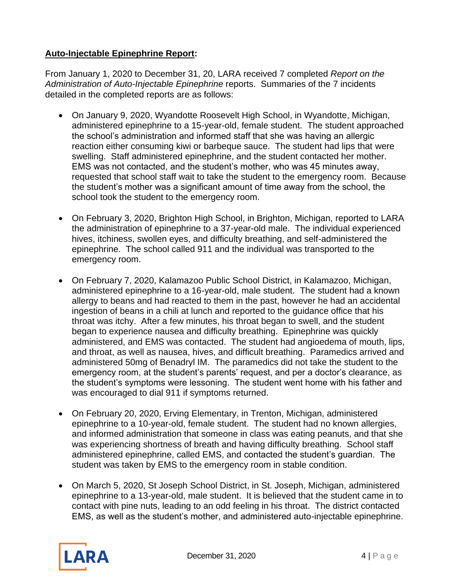### **Auto-Injectable Epinephrine Report:**

From January 1, 2020 to December 31, 20, LARA received 7 completed *Report on the Administration of Auto-Injectable Epinephrine* reports. Summaries of the 7 incidents detailed in the completed reports are as follows:

- On January 9, 2020, Wyandotte Roosevelt High School, in Wyandotte, Michigan, administered epinephrine to a 15-year-old, female student. The student approached the school's administration and informed staff that she was having an allergic reaction either consuming kiwi or barbeque sauce. The student had lips that were swelling. Staff administered epinephrine, and the student contacted her mother. EMS was not contacted, and the student's mother, who was 45 minutes away, requested that school staff wait to take the student to the emergency room. Because the student's mother was a significant amount of time away from the school, the school took the student to the emergency room.
- On February 3, 2020, Brighton High School, in Brighton, Michigan, reported to LARA the administration of epinephrine to a 37-year-old male. The individual experienced hives, itchiness, swollen eyes, and difficulty breathing, and self-administered the epinephrine. The school called 911 and the individual was transported to the emergency room.
- On February 7, 2020, Kalamazoo Public School District, in Kalamazoo, Michigan, administered epinephrine to a 16-year-old, male student. The student had a known allergy to beans and had reacted to them in the past, however he had an accidental ingestion of beans in a chili at lunch and reported to the guidance office that his throat was itchy. After a few minutes, his throat began to swell, and the student began to experience nausea and difficulty breathing. Epinephrine was quickly administered, and EMS was contacted. The student had angioedema of mouth, lips, and throat, as well as nausea, hives, and difficult breathing. Paramedics arrived and administered 50mg of Benadryl IM. The paramedics did not take the student to the emergency room, at the student's parents' request, and per a doctor's clearance, as the student's symptoms were lessoning. The student went home with his father and was encouraged to dial 911 if symptoms returned.
- On February 20, 2020, Erving Elementary, in Trenton, Michigan, administered epinephrine to a 10-year-old, female student. The student had no known allergies, and informed administration that someone in class was eating peanuts, and that she was experiencing shortness of breath and having difficulty breathing. School staff administered epinephrine, called EMS, and contacted the student's guardian. The student was taken by EMS to the emergency room in stable condition.
- On March 5, 2020, St Joseph School District, in St. Joseph, Michigan, administered epinephrine to a 13-year-old, male student. It is believed that the student came in to contact with pine nuts, leading to an odd feeling in his throat. The district contacted EMS, as well as the student's mother, and administered auto-injectable epinephrine.